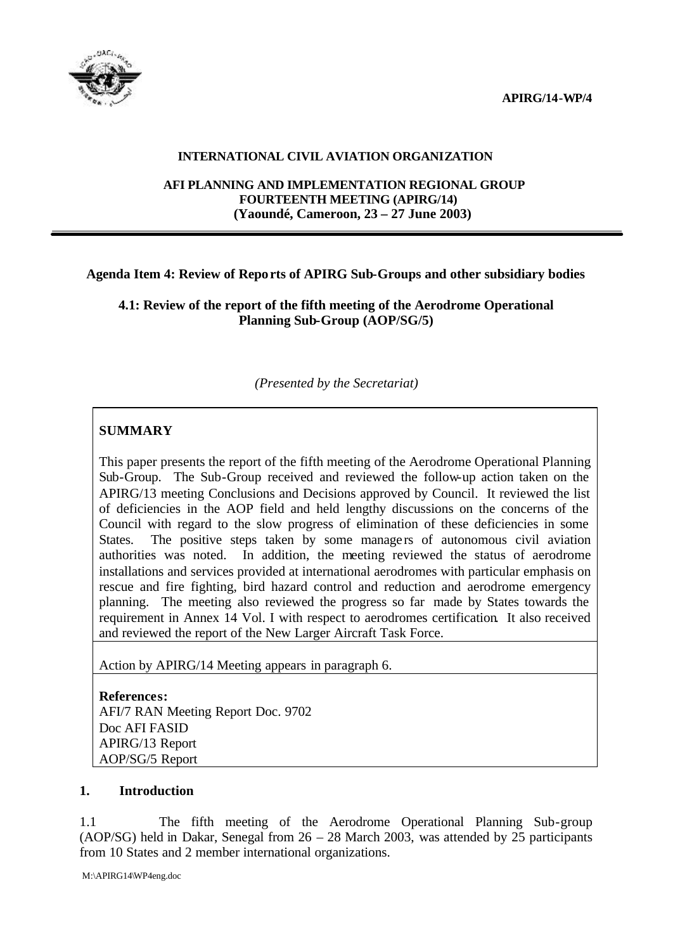**APIRG/14-WP/4**



## **INTERNATIONAL CIVIL AVIATION ORGANIZATION**

#### **AFI PLANNING AND IMPLEMENTATION REGIONAL GROUP FOURTEENTH MEETING (APIRG/14) (Yaoundé, Cameroon, 23 – 27 June 2003)**

## **Agenda Item 4: Review of Reports of APIRG Sub-Groups and other subsidiary bodies**

**4.1: Review of the report of the fifth meeting of the Aerodrome Operational Planning Sub-Group (AOP/SG/5)**

*(Presented by the Secretariat)*

# **SUMMARY**

This paper presents the report of the fifth meeting of the Aerodrome Operational Planning Sub-Group. The Sub-Group received and reviewed the follow-up action taken on the APIRG/13 meeting Conclusions and Decisions approved by Council. It reviewed the list of deficiencies in the AOP field and held lengthy discussions on the concerns of the Council with regard to the slow progress of elimination of these deficiencies in some States. The positive steps taken by some managers of autonomous civil aviation authorities was noted. In addition, the meeting reviewed the status of aerodrome installations and services provided at international aerodromes with particular emphasis on rescue and fire fighting, bird hazard control and reduction and aerodrome emergency planning. The meeting also reviewed the progress so far made by States towards the requirement in Annex 14 Vol. I with respect to aerodromes certification. It also received and reviewed the report of the New Larger Aircraft Task Force.

Action by APIRG/14 Meeting appears in paragraph 6.

**References:** AFI/7 RAN Meeting Report Doc. 9702 Doc AFI FASID APIRG/13 Report AOP/SG/5 Report

### **1. Introduction**

1.1 The fifth meeting of the Aerodrome Operational Planning Sub-group (AOP/SG) held in Dakar, Senegal from 26 – 28 March 2003, was attended by 25 participants from 10 States and 2 member international organizations.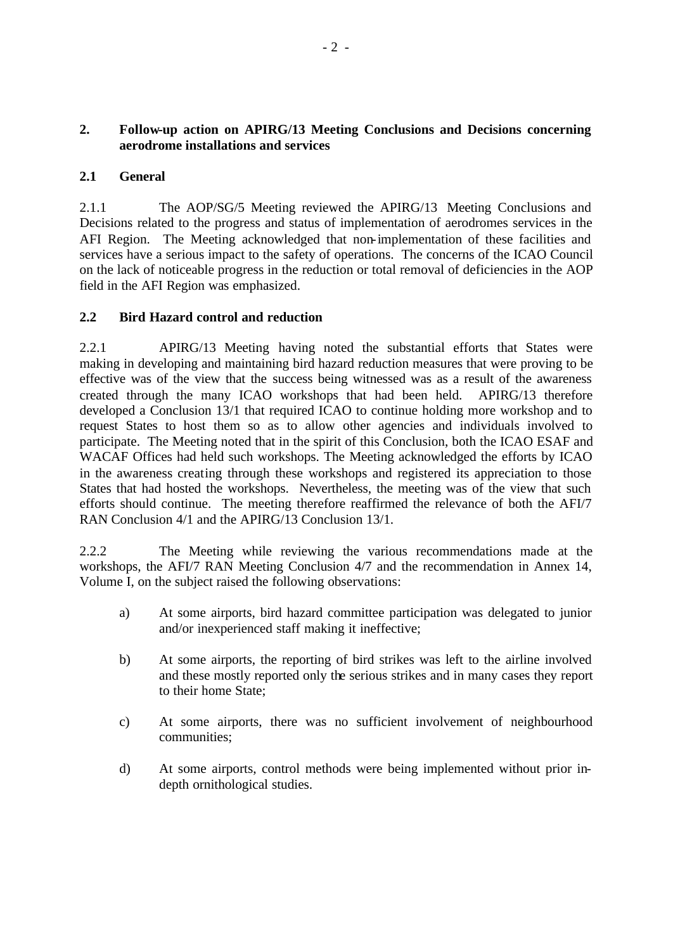## **2. Follow-up action on APIRG/13 Meeting Conclusions and Decisions concerning aerodrome installations and services**

## **2.1 General**

2.1.1 The AOP/SG/5 Meeting reviewed the APIRG/13 Meeting Conclusions and Decisions related to the progress and status of implementation of aerodromes services in the AFI Region. The Meeting acknowledged that non-implementation of these facilities and services have a serious impact to the safety of operations. The concerns of the ICAO Council on the lack of noticeable progress in the reduction or total removal of deficiencies in the AOP field in the AFI Region was emphasized.

## **2.2 Bird Hazard control and reduction**

2.2.1 APIRG/13 Meeting having noted the substantial efforts that States were making in developing and maintaining bird hazard reduction measures that were proving to be effective was of the view that the success being witnessed was as a result of the awareness created through the many ICAO workshops that had been held. APIRG/13 therefore developed a Conclusion 13/1 that required ICAO to continue holding more workshop and to request States to host them so as to allow other agencies and individuals involved to participate. The Meeting noted that in the spirit of this Conclusion, both the ICAO ESAF and WACAF Offices had held such workshops. The Meeting acknowledged the efforts by ICAO in the awareness creating through these workshops and registered its appreciation to those States that had hosted the workshops. Nevertheless, the meeting was of the view that such efforts should continue. The meeting therefore reaffirmed the relevance of both the AFI/7 RAN Conclusion 4/1 and the APIRG/13 Conclusion 13/1.

2.2.2 The Meeting while reviewing the various recommendations made at the workshops, the AFI/7 RAN Meeting Conclusion 4/7 and the recommendation in Annex 14, Volume I, on the subject raised the following observations:

- a) At some airports, bird hazard committee participation was delegated to junior and/or inexperienced staff making it ineffective;
- b) At some airports, the reporting of bird strikes was left to the airline involved and these mostly reported only the serious strikes and in many cases they report to their home State;
- c) At some airports, there was no sufficient involvement of neighbourhood communities;
- d) At some airports, control methods were being implemented without prior indepth ornithological studies.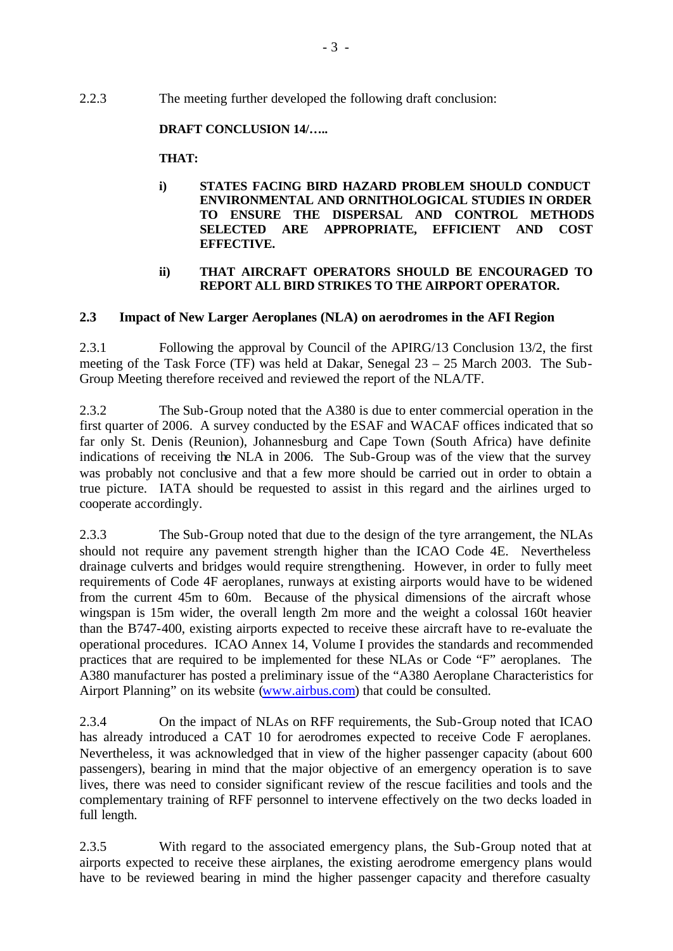2.2.3 The meeting further developed the following draft conclusion:

## **DRAFT CONCLUSION 14/…..**

## **THAT:**

**i) STATES FACING BIRD HAZARD PROBLEM SHOULD CONDUCT ENVIRONMENTAL AND ORNITHOLOGICAL STUDIES IN ORDER TO ENSURE THE DISPERSAL AND CONTROL METHODS SELECTED ARE APPROPRIATE, EFFICIENT AND COST EFFECTIVE.**

### **ii) THAT AIRCRAFT OPERATORS SHOULD BE ENCOURAGED TO REPORT ALL BIRD STRIKES TO THE AIRPORT OPERATOR.**

## **2.3 Impact of New Larger Aeroplanes (NLA) on aerodromes in the AFI Region**

2.3.1 Following the approval by Council of the APIRG/13 Conclusion 13/2, the first meeting of the Task Force (TF) was held at Dakar, Senegal 23 – 25 March 2003. The Sub-Group Meeting therefore received and reviewed the report of the NLA/TF.

2.3.2 The Sub-Group noted that the A380 is due to enter commercial operation in the first quarter of 2006. A survey conducted by the ESAF and WACAF offices indicated that so far only St. Denis (Reunion), Johannesburg and Cape Town (South Africa) have definite indications of receiving the NLA in 2006. The Sub-Group was of the view that the survey was probably not conclusive and that a few more should be carried out in order to obtain a true picture. IATA should be requested to assist in this regard and the airlines urged to cooperate accordingly.

2.3.3 The Sub-Group noted that due to the design of the tyre arrangement, the NLAs should not require any pavement strength higher than the ICAO Code 4E. Nevertheless drainage culverts and bridges would require strengthening. However, in order to fully meet requirements of Code 4F aeroplanes, runways at existing airports would have to be widened from the current 45m to 60m. Because of the physical dimensions of the aircraft whose wingspan is 15m wider, the overall length 2m more and the weight a colossal 160t heavier than the B747-400, existing airports expected to receive these aircraft have to re-evaluate the operational procedures. ICAO Annex 14, Volume I provides the standards and recommended practices that are required to be implemented for these NLAs or Code "F" aeroplanes. The A380 manufacturer has posted a preliminary issue of the "A380 Aeroplane Characteristics for Airport Planning" on its website (www.airbus.com) that could be consulted.

2.3.4 On the impact of NLAs on RFF requirements, the Sub-Group noted that ICAO has already introduced a CAT 10 for aerodromes expected to receive Code F aeroplanes. Nevertheless, it was acknowledged that in view of the higher passenger capacity (about 600 passengers), bearing in mind that the major objective of an emergency operation is to save lives, there was need to consider significant review of the rescue facilities and tools and the complementary training of RFF personnel to intervene effectively on the two decks loaded in full length.

2.3.5 With regard to the associated emergency plans, the Sub-Group noted that at airports expected to receive these airplanes, the existing aerodrome emergency plans would have to be reviewed bearing in mind the higher passenger capacity and therefore casualty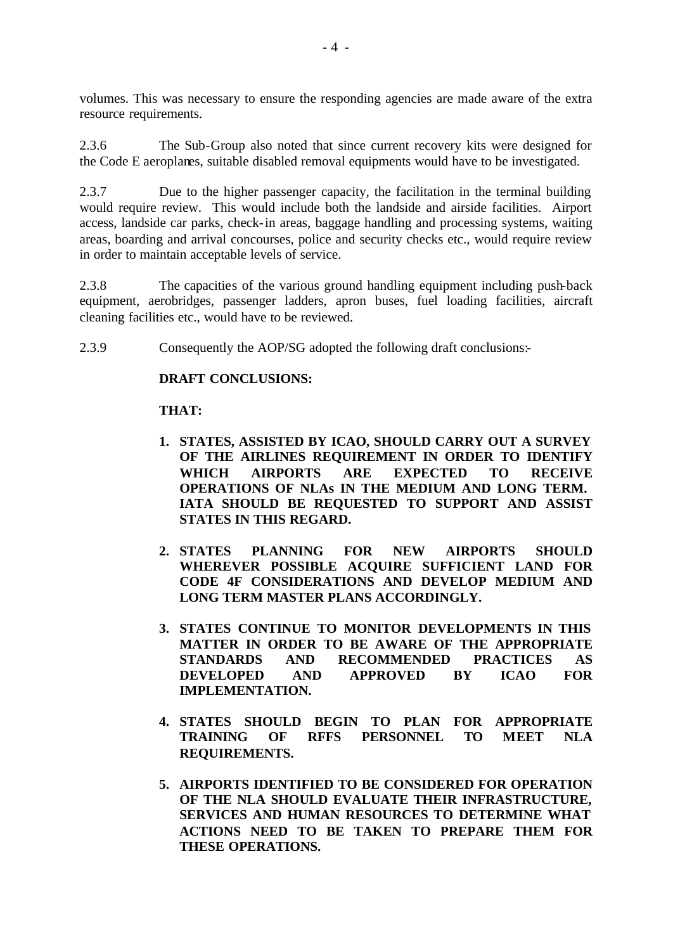volumes. This was necessary to ensure the responding agencies are made aware of the extra resource requirements.

2.3.6 The Sub-Group also noted that since current recovery kits were designed for the Code E aeroplanes, suitable disabled removal equipments would have to be investigated.

2.3.7 Due to the higher passenger capacity, the facilitation in the terminal building would require review. This would include both the landside and airside facilities. Airport access, landside car parks, check-in areas, baggage handling and processing systems, waiting areas, boarding and arrival concourses, police and security checks etc., would require review in order to maintain acceptable levels of service.

2.3.8 The capacities of the various ground handling equipment including push-back equipment, aerobridges, passenger ladders, apron buses, fuel loading facilities, aircraft cleaning facilities etc., would have to be reviewed.

2.3.9 Consequently the AOP/SG adopted the following draft conclusions:-

### **DRAFT CONCLUSIONS:**

### **THAT:**

- **1. STATES, ASSISTED BY ICAO, SHOULD CARRY OUT A SURVEY OF THE AIRLINES REQUIREMENT IN ORDER TO IDENTIFY WHICH AIRPORTS ARE EXPECTED TO RECEIVE OPERATIONS OF NLAs IN THE MEDIUM AND LONG TERM. IATA SHOULD BE REQUESTED TO SUPPORT AND ASSIST STATES IN THIS REGARD.**
- **2. STATES PLANNING FOR NEW AIRPORTS SHOULD WHEREVER POSSIBLE ACQUIRE SUFFICIENT LAND FOR CODE 4F CONSIDERATIONS AND DEVELOP MEDIUM AND LONG TERM MASTER PLANS ACCORDINGLY.**
- **3. STATES CONTINUE TO MONITOR DEVELOPMENTS IN THIS MATTER IN ORDER TO BE AWARE OF THE APPROPRIATE STANDARDS AND RECOMMENDED PRACTICES AS DEVELOPED AND APPROVED BY ICAO FOR IMPLEMENTATION.**
- **4. STATES SHOULD BEGIN TO PLAN FOR APPROPRIATE TRAINING OF RFFS PERSONNEL TO MEET NLA REQUIREMENTS.**
- **5. AIRPORTS IDENTIFIED TO BE CONSIDERED FOR OPERATION OF THE NLA SHOULD EVALUATE THEIR INFRASTRUCTURE, SERVICES AND HUMAN RESOURCES TO DETERMINE WHAT ACTIONS NEED TO BE TAKEN TO PREPARE THEM FOR THESE OPERATIONS.**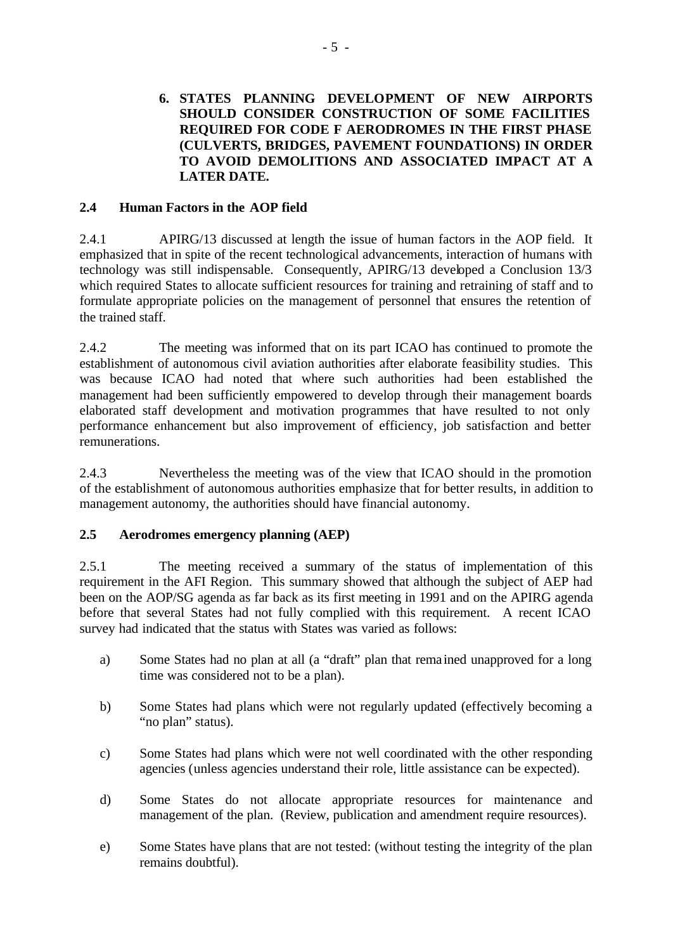## **6. STATES PLANNING DEVELOPMENT OF NEW AIRPORTS SHOULD CONSIDER CONSTRUCTION OF SOME FACILITIES REQUIRED FOR CODE F AERODROMES IN THE FIRST PHASE (CULVERTS, BRIDGES, PAVEMENT FOUNDATIONS) IN ORDER TO AVOID DEMOLITIONS AND ASSOCIATED IMPACT AT A LATER DATE.**

## **2.4 Human Factors in the AOP field**

2.4.1 APIRG/13 discussed at length the issue of human factors in the AOP field. It emphasized that in spite of the recent technological advancements, interaction of humans with technology was still indispensable. Consequently, APIRG/13 developed a Conclusion 13/3 which required States to allocate sufficient resources for training and retraining of staff and to formulate appropriate policies on the management of personnel that ensures the retention of the trained staff.

2.4.2 The meeting was informed that on its part ICAO has continued to promote the establishment of autonomous civil aviation authorities after elaborate feasibility studies. This was because ICAO had noted that where such authorities had been established the management had been sufficiently empowered to develop through their management boards elaborated staff development and motivation programmes that have resulted to not only performance enhancement but also improvement of efficiency, job satisfaction and better remunerations.

2.4.3 Nevertheless the meeting was of the view that ICAO should in the promotion of the establishment of autonomous authorities emphasize that for better results, in addition to management autonomy, the authorities should have financial autonomy.

## **2.5 Aerodromes emergency planning (AEP)**

2.5.1 The meeting received a summary of the status of implementation of this requirement in the AFI Region. This summary showed that although the subject of AEP had been on the AOP/SG agenda as far back as its first meeting in 1991 and on the APIRG agenda before that several States had not fully complied with this requirement. A recent ICAO survey had indicated that the status with States was varied as follows:

- a) Some States had no plan at all (a "draft" plan that rema ined unapproved for a long time was considered not to be a plan).
- b) Some States had plans which were not regularly updated (effectively becoming a "no plan" status).
- c) Some States had plans which were not well coordinated with the other responding agencies (unless agencies understand their role, little assistance can be expected).
- d) Some States do not allocate appropriate resources for maintenance and management of the plan. (Review, publication and amendment require resources).
- e) Some States have plans that are not tested: (without testing the integrity of the plan remains doubtful).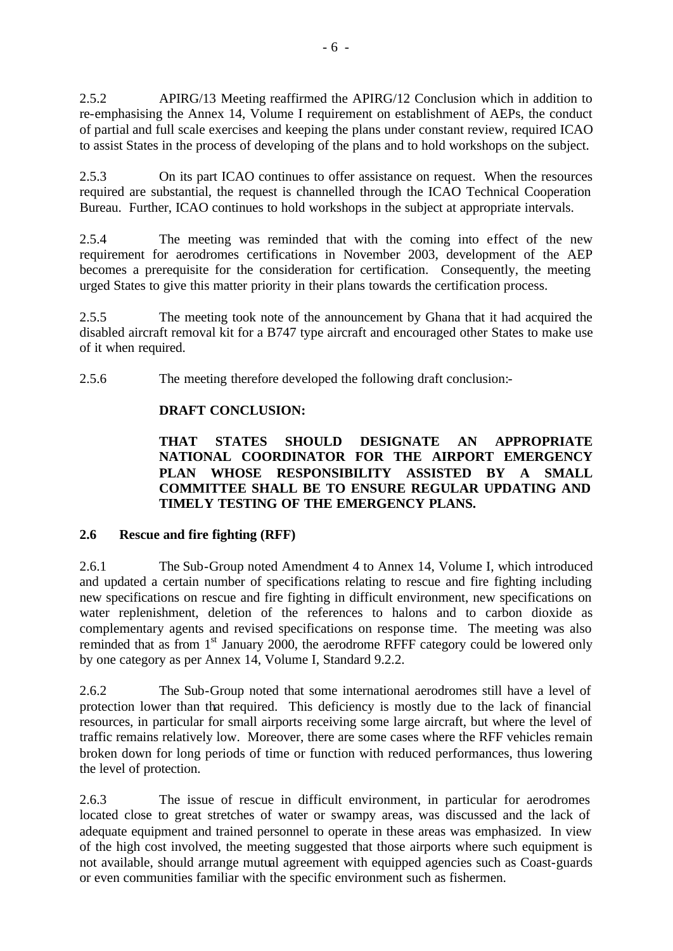2.5.2 APIRG/13 Meeting reaffirmed the APIRG/12 Conclusion which in addition to re-emphasising the Annex 14, Volume I requirement on establishment of AEPs, the conduct of partial and full scale exercises and keeping the plans under constant review, required ICAO to assist States in the process of developing of the plans and to hold workshops on the subject.

2.5.3 On its part ICAO continues to offer assistance on request. When the resources required are substantial, the request is channelled through the ICAO Technical Cooperation Bureau. Further, ICAO continues to hold workshops in the subject at appropriate intervals.

2.5.4 The meeting was reminded that with the coming into effect of the new requirement for aerodromes certifications in November 2003, development of the AEP becomes a prerequisite for the consideration for certification. Consequently, the meeting urged States to give this matter priority in their plans towards the certification process.

2.5.5 The meeting took note of the announcement by Ghana that it had acquired the disabled aircraft removal kit for a B747 type aircraft and encouraged other States to make use of it when required.

2.5.6 The meeting therefore developed the following draft conclusion:-

## **DRAFT CONCLUSION:**

**THAT STATES SHOULD DESIGNATE AN APPROPRIATE NATIONAL COORDINATOR FOR THE AIRPORT EMERGENCY PLAN WHOSE RESPONSIBILITY ASSISTED BY A SMALL COMMITTEE SHALL BE TO ENSURE REGULAR UPDATING AND TIMELY TESTING OF THE EMERGENCY PLANS.**

## **2.6 Rescue and fire fighting (RFF)**

2.6.1 The Sub-Group noted Amendment 4 to Annex 14, Volume I, which introduced and updated a certain number of specifications relating to rescue and fire fighting including new specifications on rescue and fire fighting in difficult environment, new specifications on water replenishment, deletion of the references to halons and to carbon dioxide as complementary agents and revised specifications on response time. The meeting was also reminded that as from 1<sup>st</sup> January 2000, the aerodrome RFFF category could be lowered only by one category as per Annex 14, Volume I, Standard 9.2.2.

2.6.2 The Sub-Group noted that some international aerodromes still have a level of protection lower than that required. This deficiency is mostly due to the lack of financial resources, in particular for small airports receiving some large aircraft, but where the level of traffic remains relatively low. Moreover, there are some cases where the RFF vehicles remain broken down for long periods of time or function with reduced performances, thus lowering the level of protection.

2.6.3 The issue of rescue in difficult environment, in particular for aerodromes located close to great stretches of water or swampy areas, was discussed and the lack of adequate equipment and trained personnel to operate in these areas was emphasized. In view of the high cost involved, the meeting suggested that those airports where such equipment is not available, should arrange mutual agreement with equipped agencies such as Coast-guards or even communities familiar with the specific environment such as fishermen.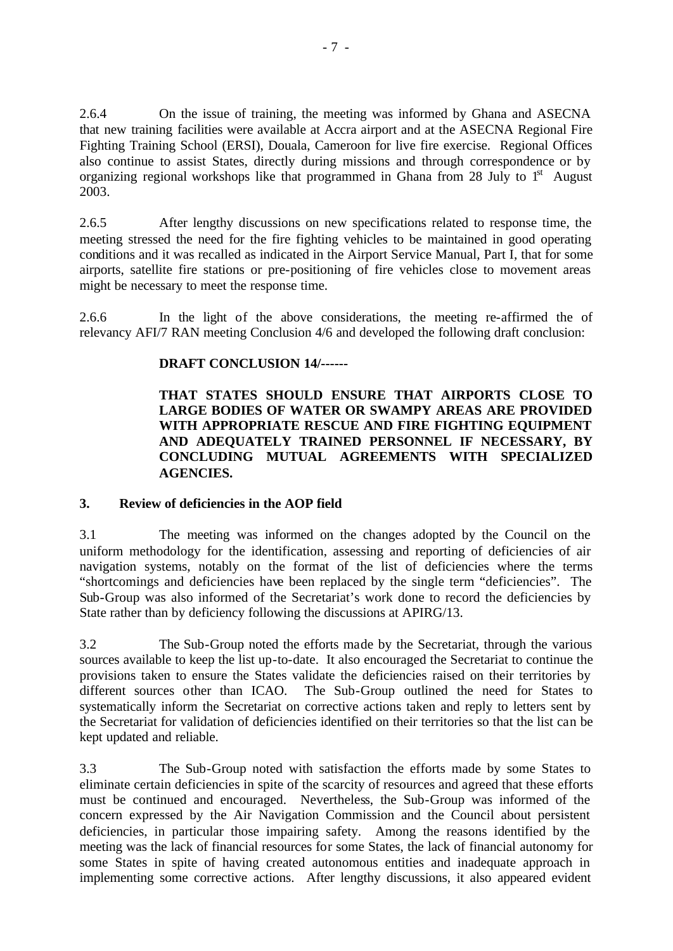2.6.4 On the issue of training, the meeting was informed by Ghana and ASECNA that new training facilities were available at Accra airport and at the ASECNA Regional Fire Fighting Training School (ERSI), Douala, Cameroon for live fire exercise. Regional Offices also continue to assist States, directly during missions and through correspondence or by organizing regional workshops like that programmed in Ghana from 28 July to  $1<sup>st</sup>$  August 2003.

2.6.5 After lengthy discussions on new specifications related to response time, the meeting stressed the need for the fire fighting vehicles to be maintained in good operating conditions and it was recalled as indicated in the Airport Service Manual, Part I, that for some airports, satellite fire stations or pre-positioning of fire vehicles close to movement areas might be necessary to meet the response time.

2.6.6 In the light of the above considerations, the meeting re-affirmed the of relevancy AFI/7 RAN meeting Conclusion 4/6 and developed the following draft conclusion:

## **DRAFT CONCLUSION 14/------**

**THAT STATES SHOULD ENSURE THAT AIRPORTS CLOSE TO LARGE BODIES OF WATER OR SWAMPY AREAS ARE PROVIDED WITH APPROPRIATE RESCUE AND FIRE FIGHTING EQUIPMENT AND ADEQUATELY TRAINED PERSONNEL IF NECESSARY, BY CONCLUDING MUTUAL AGREEMENTS WITH SPECIALIZED AGENCIES.**

### **3. Review of deficiencies in the AOP field**

3.1 The meeting was informed on the changes adopted by the Council on the uniform methodology for the identification, assessing and reporting of deficiencies of air navigation systems, notably on the format of the list of deficiencies where the terms "shortcomings and deficiencies have been replaced by the single term "deficiencies". The Sub-Group was also informed of the Secretariat's work done to record the deficiencies by State rather than by deficiency following the discussions at APIRG/13.

3.2 The Sub-Group noted the efforts made by the Secretariat, through the various sources available to keep the list up-to-date. It also encouraged the Secretariat to continue the provisions taken to ensure the States validate the deficiencies raised on their territories by different sources other than ICAO. The Sub-Group outlined the need for States to systematically inform the Secretariat on corrective actions taken and reply to letters sent by the Secretariat for validation of deficiencies identified on their territories so that the list can be kept updated and reliable.

3.3 The Sub-Group noted with satisfaction the efforts made by some States to eliminate certain deficiencies in spite of the scarcity of resources and agreed that these efforts must be continued and encouraged. Nevertheless, the Sub-Group was informed of the concern expressed by the Air Navigation Commission and the Council about persistent deficiencies, in particular those impairing safety. Among the reasons identified by the meeting was the lack of financial resources for some States, the lack of financial autonomy for some States in spite of having created autonomous entities and inadequate approach in implementing some corrective actions. After lengthy discussions, it also appeared evident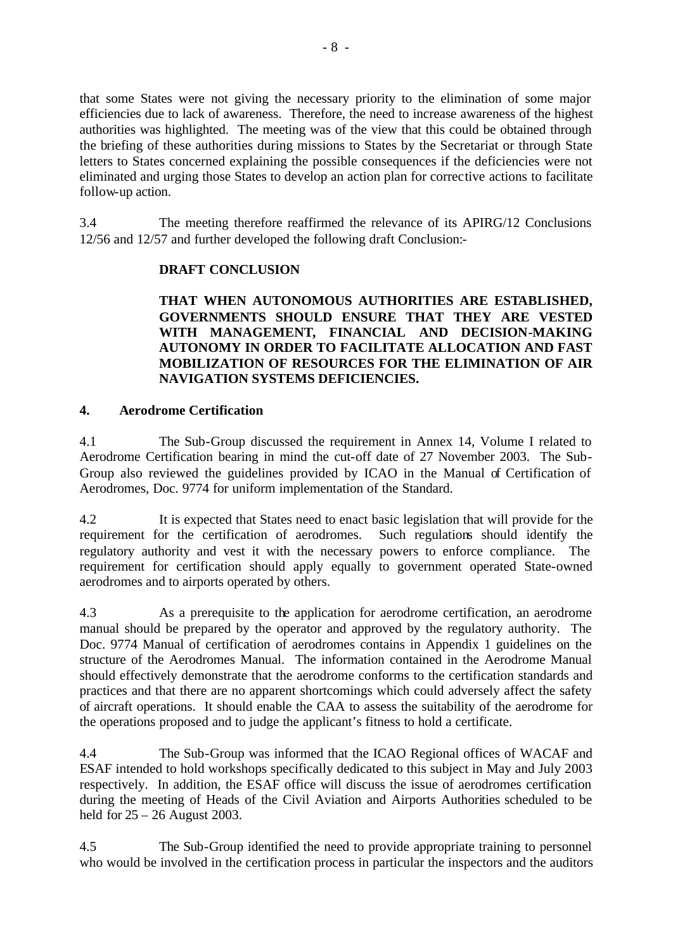that some States were not giving the necessary priority to the elimination of some major efficiencies due to lack of awareness. Therefore, the need to increase awareness of the highest authorities was highlighted. The meeting was of the view that this could be obtained through the briefing of these authorities during missions to States by the Secretariat or through State letters to States concerned explaining the possible consequences if the deficiencies were not eliminated and urging those States to develop an action plan for corrective actions to facilitate follow-up action.

3.4 The meeting therefore reaffirmed the relevance of its APIRG/12 Conclusions 12/56 and 12/57 and further developed the following draft Conclusion:-

## **DRAFT CONCLUSION**

## **THAT WHEN AUTONOMOUS AUTHORITIES ARE ESTABLISHED, GOVERNMENTS SHOULD ENSURE THAT THEY ARE VESTED WITH MANAGEMENT, FINANCIAL AND DECISION-MAKING AUTONOMY IN ORDER TO FACILITATE ALLOCATION AND FAST MOBILIZATION OF RESOURCES FOR THE ELIMINATION OF AIR NAVIGATION SYSTEMS DEFICIENCIES.**

### **4. Aerodrome Certification**

4.1 The Sub-Group discussed the requirement in Annex 14, Volume I related to Aerodrome Certification bearing in mind the cut-off date of 27 November 2003. The Sub-Group also reviewed the guidelines provided by ICAO in the Manual of Certification of Aerodromes, Doc. 9774 for uniform implementation of the Standard.

4.2 It is expected that States need to enact basic legislation that will provide for the requirement for the certification of aerodromes. Such regulations should identify the regulatory authority and vest it with the necessary powers to enforce compliance. The requirement for certification should apply equally to government operated State-owned aerodromes and to airports operated by others.

4.3 As a prerequisite to the application for aerodrome certification, an aerodrome manual should be prepared by the operator and approved by the regulatory authority. The Doc. 9774 Manual of certification of aerodromes contains in Appendix 1 guidelines on the structure of the Aerodromes Manual. The information contained in the Aerodrome Manual should effectively demonstrate that the aerodrome conforms to the certification standards and practices and that there are no apparent shortcomings which could adversely affect the safety of aircraft operations. It should enable the CAA to assess the suitability of the aerodrome for the operations proposed and to judge the applicant's fitness to hold a certificate.

4.4 The Sub-Group was informed that the ICAO Regional offices of WACAF and ESAF intended to hold workshops specifically dedicated to this subject in May and July 2003 respectively. In addition, the ESAF office will discuss the issue of aerodromes certification during the meeting of Heads of the Civil Aviation and Airports Authorities scheduled to be held for 25 – 26 August 2003.

4.5 The Sub-Group identified the need to provide appropriate training to personnel who would be involved in the certification process in particular the inspectors and the auditors